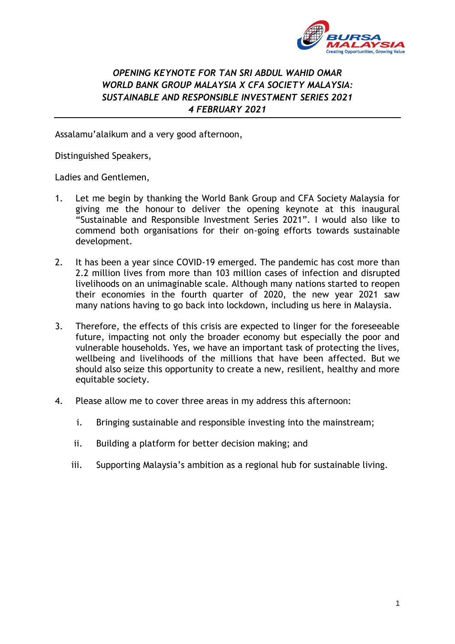

# *OPENING KEYNOTE FOR TAN SRI ABDUL WAHID OMAR WORLD BANK GROUP MALAYSIA X CFA SOCIETY MALAYSIA: SUSTAINABLE AND RESPONSIBLE INVESTMENT SERIES 2021 4 FEBRUARY 2021*

Assalamu'alaikum and a very good afternoon,

Distinguished Speakers,

Ladies and Gentlemen,

- 1. Let me begin by thanking the World Bank Group and CFA Society Malaysia for giving me the honour to deliver the opening keynote at this inaugural "Sustainable and Responsible Investment Series 2021". I would also like to commend both organisations for their on-going efforts towards sustainable development.
- 2. It has been a year since COVID-19 emerged. The pandemic has cost more than 2.2 million lives from more than 103 million cases of infection and disrupted livelihoods on an unimaginable scale. Although many nations started to reopen their economies in the fourth quarter of 2020, the new year 2021 saw many nations having to go back into lockdown, including us here in Malaysia.
- 3. Therefore, the effects of this crisis are expected to linger for the foreseeable future, impacting not only the broader economy but especially the poor and vulnerable households. Yes, we have an important task of protecting the lives, wellbeing and livelihoods of the millions that have been affected. But we should also seize this opportunity to create a new, resilient, healthy and more equitable society.
- 4. Please allow me to cover three areas in my address this afternoon:
	- i. Bringing sustainable and responsible investing into the mainstream;
	- ii. Building a platform for better decision making; and
	- iii. Supporting Malaysia's ambition as a regional hub for sustainable living.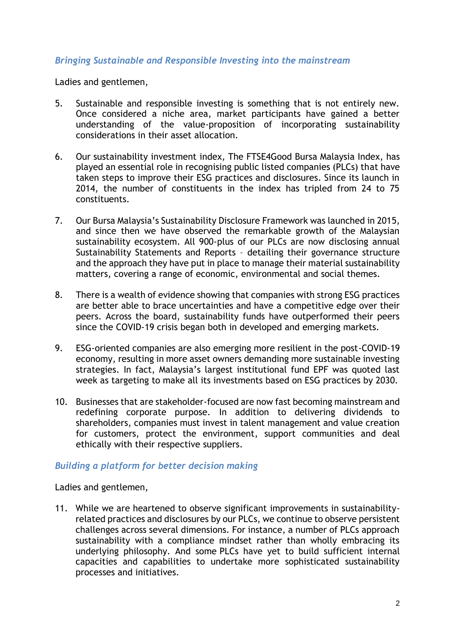# *Bringing Sustainable and Responsible Investing into the mainstream*

Ladies and gentlemen,

- 5. Sustainable and responsible investing is something that is not entirely new. Once considered a niche area, market participants have gained a better understanding of the value-proposition of incorporating sustainability considerations in their asset allocation.
- 6. Our sustainability investment index, The FTSE4Good Bursa Malaysia Index, has played an essential role in recognising public listed companies (PLCs) that have taken steps to improve their ESG practices and disclosures. Since its launch in 2014, the number of constituents in the index has tripled from 24 to 75 constituents.
- 7. Our Bursa Malaysia's Sustainability Disclosure Framework was launched in 2015, and since then we have observed the remarkable growth of the Malaysian sustainability ecosystem. All 900-plus of our PLCs are now disclosing annual Sustainability Statements and Reports – detailing their governance structure and the approach they have put in place to manage their material sustainability matters, covering a range of economic, environmental and social themes.
- 8. There is a wealth of evidence showing that companies with strong ESG practices are better able to brace uncertainties and have a competitive edge over their peers. Across the board, sustainability funds have outperformed their peers since the COVID-19 crisis began both in developed and emerging markets.
- 9. ESG-oriented companies are also emerging more resilient in the post-COVID-19 economy, resulting in more asset owners demanding more sustainable investing strategies. In fact, Malaysia's largest institutional fund EPF was quoted last week as targeting to make all its investments based on ESG practices by 2030.
- 10. Businesses that are stakeholder-focused are now fast becoming mainstream and redefining corporate purpose. In addition to delivering dividends to shareholders, companies must invest in talent management and value creation for customers, protect the environment, support communities and deal ethically with their respective suppliers.

## *Building a platform for better decision making*

Ladies and gentlemen,

11. While we are heartened to observe significant improvements in sustainabilityrelated practices and disclosures by our PLCs, we continue to observe persistent challenges across several dimensions. For instance, a number of PLCs approach sustainability with a compliance mindset rather than wholly embracing its underlying philosophy. And some PLCs have yet to build sufficient internal capacities and capabilities to undertake more sophisticated sustainability processes and initiatives.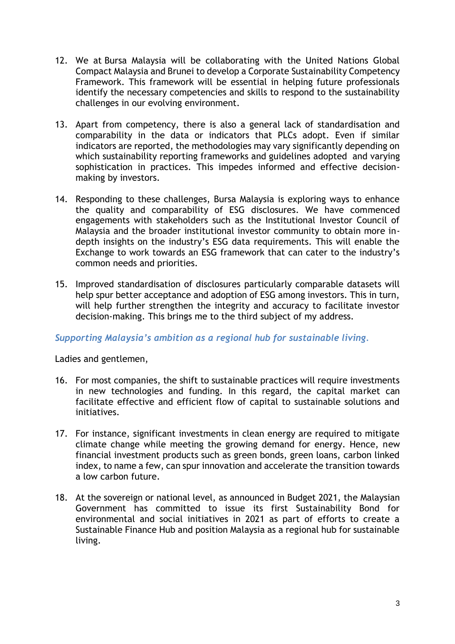- 12. We at Bursa Malaysia will be collaborating with the United Nations Global Compact Malaysia and Brunei to develop a Corporate Sustainability Competency Framework. This framework will be essential in helping future professionals identify the necessary competencies and skills to respond to the sustainability challenges in our evolving environment.
- 13. Apart from competency, there is also a general lack of standardisation and comparability in the data or indicators that PLCs adopt. Even if similar indicators are reported, the methodologies may vary significantly depending on which sustainability reporting frameworks and guidelines adopted and varying sophistication in practices. This impedes informed and effective decisionmaking by investors.
- 14. Responding to these challenges, Bursa Malaysia is exploring ways to enhance the quality and comparability of ESG disclosures. We have commenced engagements with stakeholders such as the Institutional Investor Council of Malaysia and the broader institutional investor community to obtain more indepth insights on the industry's ESG data requirements. This will enable the Exchange to work towards an ESG framework that can cater to the industry's common needs and priorities.
- 15. Improved standardisation of disclosures particularly comparable datasets will help spur better acceptance and adoption of ESG among investors. This in turn, will help further strengthen the integrity and accuracy to facilitate investor decision-making. This brings me to the third subject of my address.

## *Supporting Malaysia's ambition as a regional hub for sustainable living.*

Ladies and gentlemen,

- 16. For most companies, the shift to sustainable practices will require investments in new technologies and funding. In this regard, the capital market can facilitate effective and efficient flow of capital to sustainable solutions and initiatives.
- 17. For instance, significant investments in clean energy are required to mitigate climate change while meeting the growing demand for energy. Hence, new financial investment products such as green bonds, green loans, carbon linked index, to name a few, can spur innovation and accelerate the transition towards a low carbon future.
- 18. At the sovereign or national level, as announced in Budget 2021, the Malaysian Government has committed to issue its first Sustainability Bond for environmental and social initiatives in 2021 as part of efforts to create a Sustainable Finance Hub and position Malaysia as a regional hub for sustainable living.